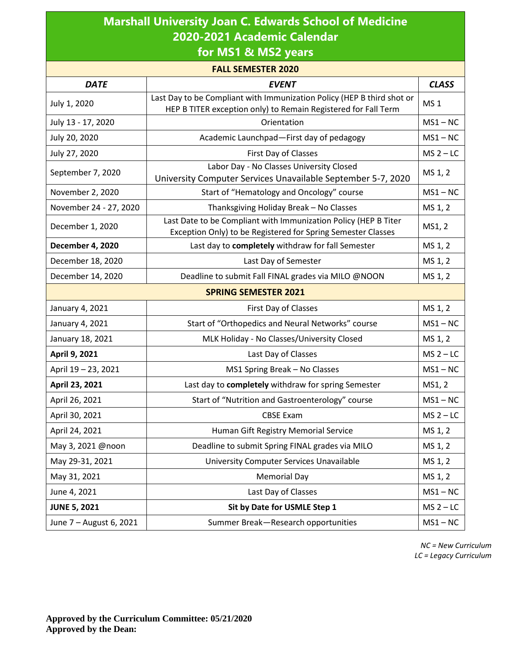| <b>Marshall University Joan C. Edwards School of Medicine</b> |
|---------------------------------------------------------------|
| 2020-2021 Academic Calendar                                   |
| $\mathbf{r}$ . Research in the set of the set of $\mathbf{r}$ |

**for MS1 & MS2 years**

| <b>FALL SEMESTER 2020</b>   |                                                                                                                                          |             |  |  |  |
|-----------------------------|------------------------------------------------------------------------------------------------------------------------------------------|-------------|--|--|--|
| <b>DATE</b>                 | <b>EVENT</b>                                                                                                                             |             |  |  |  |
| July 1, 2020                | Last Day to be Compliant with Immunization Policy (HEP B third shot or<br>HEP B TITER exception only) to Remain Registered for Fall Term |             |  |  |  |
| July 13 - 17, 2020          | Orientation                                                                                                                              |             |  |  |  |
| July 20, 2020               | Academic Launchpad-First day of pedagogy                                                                                                 |             |  |  |  |
| July 27, 2020               | First Day of Classes                                                                                                                     | $MS 2 - LC$ |  |  |  |
| September 7, 2020           | Labor Day - No Classes University Closed<br>University Computer Services Unavailable September 5-7, 2020                                 | MS 1, 2     |  |  |  |
| November 2, 2020            | Start of "Hematology and Oncology" course                                                                                                | $MS1 - NC$  |  |  |  |
| November 24 - 27, 2020      | Thanksgiving Holiday Break - No Classes                                                                                                  | MS 1, 2     |  |  |  |
| December 1, 2020            | Last Date to be Compliant with Immunization Policy (HEP B Titer<br>Exception Only) to be Registered for Spring Semester Classes          | MS1, 2      |  |  |  |
| <b>December 4, 2020</b>     | Last day to completely withdraw for fall Semester                                                                                        | MS 1, 2     |  |  |  |
| December 18, 2020           | Last Day of Semester                                                                                                                     | MS 1, 2     |  |  |  |
| December 14, 2020           | Deadline to submit Fall FINAL grades via MILO @NOON                                                                                      | MS 1, 2     |  |  |  |
| <b>SPRING SEMESTER 2021</b> |                                                                                                                                          |             |  |  |  |
| January 4, 2021             | First Day of Classes                                                                                                                     | MS 1, 2     |  |  |  |
| January 4, 2021             | Start of "Orthopedics and Neural Networks" course                                                                                        | $MS1 - NC$  |  |  |  |
| January 18, 2021            | MLK Holiday - No Classes/University Closed                                                                                               | MS 1, 2     |  |  |  |
| April 9, 2021               | Last Day of Classes                                                                                                                      | $MS2 - LC$  |  |  |  |
| April 19 - 23, 2021         | MS1 Spring Break - No Classes                                                                                                            | $MS1 - NC$  |  |  |  |
| April 23, 2021              | Last day to completely withdraw for spring Semester                                                                                      | MS1, 2      |  |  |  |
| April 26, 2021              | Start of "Nutrition and Gastroenterology" course                                                                                         | $MS1 - NC$  |  |  |  |
| April 30, 2021              | <b>CBSE Exam</b>                                                                                                                         | $MS 2 - LC$ |  |  |  |
| April 24, 2021              | Human Gift Registry Memorial Service                                                                                                     | MS 1, 2     |  |  |  |
| May 3, 2021 @noon           | Deadline to submit Spring FINAL grades via MILO                                                                                          | MS 1, 2     |  |  |  |
| May 29-31, 2021             | University Computer Services Unavailable                                                                                                 | MS 1, 2     |  |  |  |
| May 31, 2021                | <b>Memorial Day</b>                                                                                                                      | MS 1, 2     |  |  |  |
| June 4, 2021                | Last Day of Classes                                                                                                                      | $MS1 - NC$  |  |  |  |
| <b>JUNE 5, 2021</b>         | Sit by Date for USMLE Step 1                                                                                                             | $MS 2 - LC$ |  |  |  |
| June 7 - August 6, 2021     | Summer Break-Research opportunities                                                                                                      | $MS1 - NC$  |  |  |  |

*NC = New Curriculum LC = Legacy Curriculum*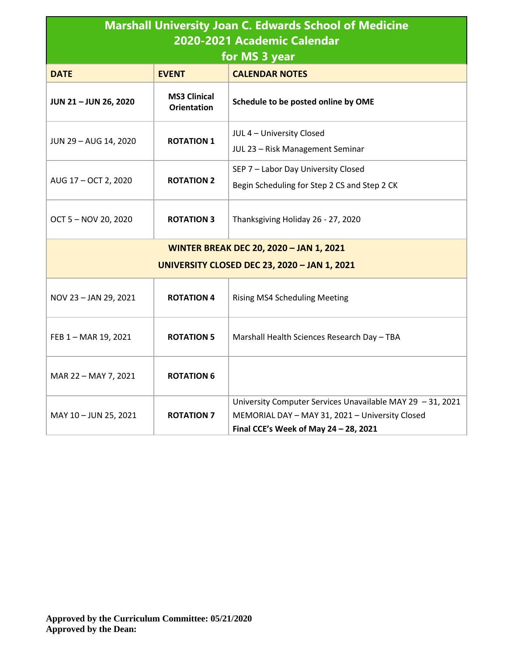| <b>Marshall University Joan C. Edwards School of Medicine</b><br>2020-2021 Academic Calendar<br>for MS 3 year |                                           |                                                                                                                                                        |  |  |
|---------------------------------------------------------------------------------------------------------------|-------------------------------------------|--------------------------------------------------------------------------------------------------------------------------------------------------------|--|--|
| <b>DATE</b>                                                                                                   | <b>EVENT</b>                              | <b>CALENDAR NOTES</b>                                                                                                                                  |  |  |
| JUN 21-JUN 26, 2020                                                                                           | <b>MS3 Clinical</b><br><b>Orientation</b> | Schedule to be posted online by OME                                                                                                                    |  |  |
| JUN 29 - AUG 14, 2020                                                                                         | <b>ROTATION 1</b>                         | JUL 4 - University Closed<br>JUL 23 - Risk Management Seminar                                                                                          |  |  |
| AUG 17 - OCT 2, 2020                                                                                          | <b>ROTATION 2</b>                         | SEP 7 - Labor Day University Closed<br>Begin Scheduling for Step 2 CS and Step 2 CK                                                                    |  |  |
| OCT 5 - NOV 20, 2020                                                                                          | <b>ROTATION 3</b>                         | Thanksgiving Holiday 26 - 27, 2020                                                                                                                     |  |  |
| <b>WINTER BREAK DEC 20, 2020 - JAN 1, 2021</b><br><b>UNIVERSITY CLOSED DEC 23, 2020 - JAN 1, 2021</b>         |                                           |                                                                                                                                                        |  |  |
| NOV 23 - JAN 29, 2021                                                                                         | <b>ROTATION 4</b>                         | <b>Rising MS4 Scheduling Meeting</b>                                                                                                                   |  |  |
| FEB 1 - MAR 19, 2021                                                                                          | <b>ROTATION 5</b>                         | Marshall Health Sciences Research Day - TBA                                                                                                            |  |  |
| MAR 22 - MAY 7, 2021                                                                                          | <b>ROTATION 6</b>                         |                                                                                                                                                        |  |  |
| MAY 10 - JUN 25, 2021                                                                                         | <b>ROTATION 7</b>                         | University Computer Services Unavailable MAY 29 - 31, 2021<br>MEMORIAL DAY - MAY 31, 2021 - University Closed<br>Final CCE's Week of May 24 - 28, 2021 |  |  |